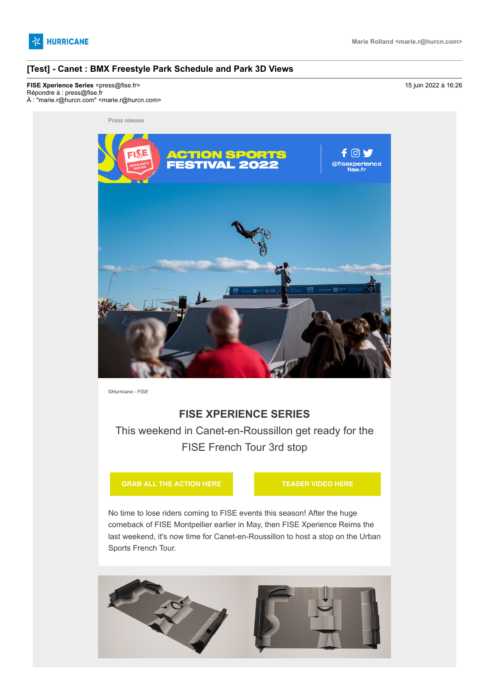

### **[Test] - Canet : BMX Freestyle Park Schedule and Park 3D Views**

**FISE Xperience Series <**press@fise.fr> 15 juin 2022 à 16:26 Répondre à : press@fise.fr À : "marie.r@hurcn.com" <marie.r@hurcn.com>



*©Hurricane - FISE*

# **FISE XPERIENCE SERIES**

This weekend in Canet-en-Roussillon get ready for the FISE French Tour 3rd stop

**[GRAB ALL THE ACTION HERE](https://hurricanepresse.cmail20.com/t/t-i-qkrftl-l-j/) [TEASER VIDEO HERE](https://hurricanepresse.cmail20.com/t/t-i-qkrftl-l-t/)**

No time to lose riders coming to FISE events this season! After the huge comeback of FISE Montpellier earlier in May, then FISE Xperience Reims the last weekend, it's now time for Canet-en-Roussillon to host a stop on the Urban Sports French Tour.

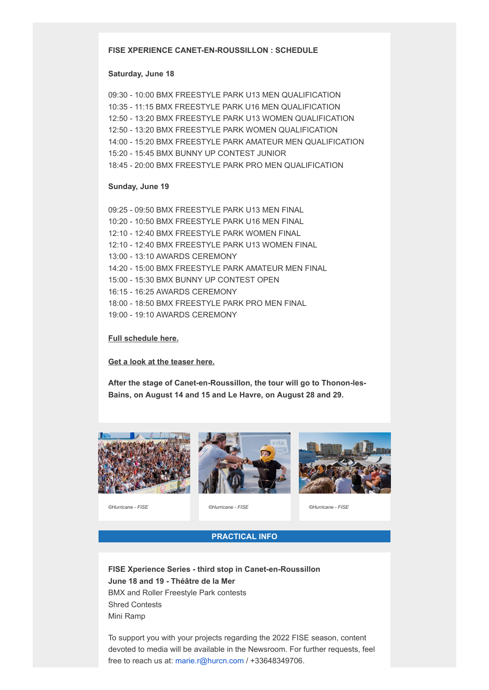# **FISE XPERIENCE CANET-EN-ROUSSILLON : SCHEDULE**

#### **Saturday, June 18**

09:30 - 10:00 BMX FREESTYLE PARK U13 MEN QUALIFICATION 10:35 - 11:15 BMX FREESTYLE PARK U16 MEN QUALIFICATION 12:50 - 13:20 BMX FREESTYLE PARK U13 WOMEN QUALIFICATION 12:50 - 13:20 BMX FREESTYLE PARK WOMEN QUALIFICATION 14:00 - 15:20 BMX FREESTYLE PARK AMATEUR MEN QUALIFICATION 15:20 - 15:45 BMX BUNNY UP CONTEST JUNIOR 18:45 - 20:00 BMX FREESTYLE PARK PRO MEN QUALIFICATION

#### **Sunday, June 19**

09:25 - 09:50 BMX FREESTYLE PARK U13 MEN FINAL 10:20 - 10:50 BMX FREESTYLE PARK U16 MEN FINAL 12:10 - 12:40 BMX FREESTYLE PARK WOMEN FINAL 12:10 - 12:40 BMX FREESTYLE PARK U13 WOMEN FINAL 13:00 - 13:10 AWARDS CEREMONY 14:20 - 15:00 BMX FREESTYLE PARK AMATEUR MEN FINAL 15:00 - 15:30 BMX BUNNY UP CONTEST OPEN 16:15 - 16:25 AWARDS CEREMONY 18:00 - 18:50 BMX FREESTYLE PARK PRO MEN FINAL 19:00 - 19:10 AWARDS CEREMONY

#### **[Full schedule here.](https://hurricanepresse.cmail20.com/t/t-i-qkrftl-l-i/)**

**[Get a look at the teaser here.](https://hurricanepresse.cmail20.com/t/t-i-qkrftl-l-d/)**

**After the stage of Canet-en-Roussillon, the tour will go to Thonon-les-Bains, on August 14 and 15 and Le Havre, on August 28 and 29.**







*©Hurricane - FISE ©Hurricane - FISE ©Hurricane - FISE*

## **PRACTICAL INFO**

**FISE Xperience Series - third stop in Canet-en-Roussillon June 18 and 19 - Théâtre de la Mer** BMX and Roller Freestyle Park contests Shred Contests Mini Ramp

To support you with your projects regarding the 2022 FISE season, content devoted to media will be available in the Newsroom. For further requests, feel free to reach us at: [marie.r@hurcn.com](mailto:marie.r@hurcn.com) / +33648349706.